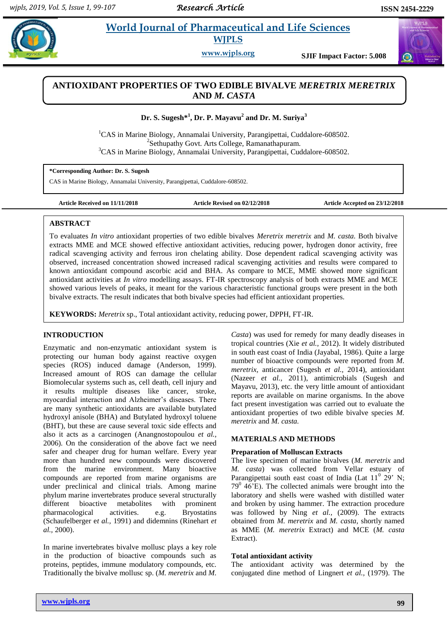# **Karthiganevia** *E**World Journal of Pharmaceutical and Life Sciences* **WJPLS**

**www.wjpls.org SJIF Impact Factor: 5.008**

# **ANTIOXIDANT PROPERTIES OF TWO EDIBLE BIVALVE** *MERETRIX MERETRIX* **AND** *M. CASTA*

# **Dr. S. Sugesh\* 1 , Dr. P. Mayavu<sup>2</sup> and Dr. M. Suriya<sup>3</sup>**

<sup>1</sup>CAS in Marine Biology, Annamalai University, Parangipettai, Cuddalore-608502. <sup>2</sup>Sethupathy Govt. Arts College, Ramanathapuram. <sup>3</sup>CAS in Marine Biology, Annamalai University, Parangipettai, Cuddalore-608502.

**\*Corresponding Author: Dr. S. Sugesh**

CAS in Marine Biology, Annamalai University, Parangipettai, Cuddalore-608502.

**Article Received on 11/11/2018 Article Revised on 02/12/2018 Article Accepted on 23/12/2018**

# **ABSTRACT**

To evaluates *In vitro* antioxidant properties of two edible bivalves *Meretrix meretrix* and *M. casta.* Both bivalve extracts MME and MCE showed effective antioxidant activities, reducing power, hydrogen donor activity, free radical scavenging activity and ferrous iron chelating ability. Dose dependent radical scavenging activity was observed, increased concentration showed increased radical scavenging activities and results were compared to known antioxidant compound ascorbic acid and BHA. As compare to MCE, MME showed more significant antioxidant activities at *In vitro* modelling assays. FT-IR spectroscopy analysis of both extracts MME and MCE showed various levels of peaks, it meant for the various characteristic functional groups were present in the both bivalve extracts. The result indicates that both bivalve species had efficient antioxidant properties.

**KEYWORDS:** *Meretrix* sp., Total antioxidant activity, reducing power, DPPH, FT-IR.

# **INTRODUCTION**

Enzymatic and non-enzymatic antioxidant system is protecting our human body against reactive oxygen species (ROS) induced damage (Anderson, 1999). Increased amount of ROS can damage the cellular Biomolecular systems such as, cell death, cell injury and it results multiple diseases like cancer, stroke, myocardial interaction and Alzheimer's diseases. There are many synthetic antioxidants are available butylated hydroxyl anisole (BHA) and Butylated hydroxyl toluene (BHT), but these are cause several toxic side effects and also it acts as a carcinogen (Anangnostopoulou *et al.,* 2006). On the consideration of the above fact we need safer and cheaper drug for human welfare. Every year more than hundred new compounds were discovered from the marine environment. Many bioactive compounds are reported from marine organisms are under preclinical and clinical trials. Among marine phylum marine invertebrates produce several structurally different bioactive metabolites with prominent pharmacological activities. e.g. Bryostatins (Schaufelberger e*t al.,* 1991) and didemnins (Rinehart *et al.,* 2000).

In marine invertebrates bivalve mollusc plays a key role in the production of bioactive compounds such as proteins, peptides, immune modulatory compounds, etc. Traditionally the bivalve mollusc sp. (*M. meretrix* and *M.* 

*Casta*) was used for remedy for many deadly diseases in tropical countries (Xie *et al.,* 2012). It widely distributed in south east coast of India (Jayabal, 1986). Quite a large number of bioactive compounds were reported from *M. meretrix,* anticancer (Sugesh *et al.,* 2014), antioxidant (Nazeer *et al.,* 2011), antimicrobials (Sugesh and Mayavu, 2013), etc. the very little amount of antioxidant reports are available on marine organisms. In the above fact present investigation was carried out to evaluate the antioxidant properties of two edible bivalve species *M. meretrix* and *M. casta.*

### **MATERIALS AND METHODS**

### **Preparation of Molluscan Extracts**

The live specimen of marine bivalves (*M. meretrix* and *M. casta*) was collected from Vellar estuary of Parangipettai south east coast of India (Lat  $11^0$  29° N;  $79^{\circ}$  46'E). The collected animals were brought into the laboratory and shells were washed with distilled water and broken by using hammer. The extraction procedure was followed by Ning *et al.,* (2009). The extracts obtained from *M. meretrix* and *M. casta*, shortly named as MME (*M. meretrix* Extract) and MCE (*M. casta* Extract).

# **Total antioxidant activity**

The antioxidant activity was determined by the conjugated dine method of Lingnert *et al.,* (1979). The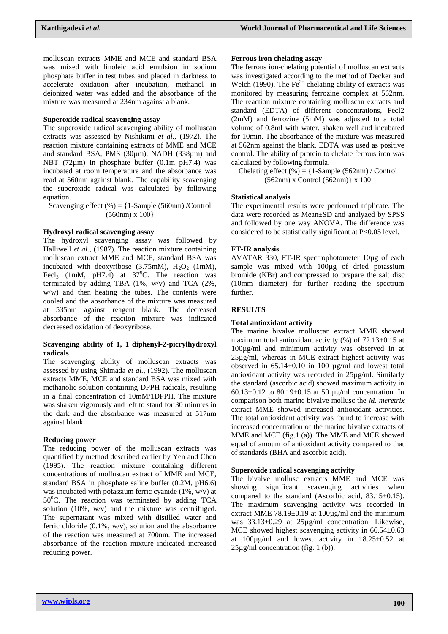molluscan extracts MME and MCE and standard BSA was mixed with linoleic acid emulsion in sodium phosphate buffer in test tubes and placed in darkness to accelerate oxidation after incubation, methanol in deionized water was added and the absorbance of the mixture was measured at 234nm against a blank.

#### **Superoxide radical scavenging assay**

The superoxide radical scavenging ability of molluscan extracts was assessed by Nishikimi *et al.,* (1972). The reaction mixture containing extracts of MME and MCE and standard BSA, PMS (30µm), NADH (338µm) and NBT (72um) in phosphate buffer (0.1m pH7.4) was incubated at room temperature and the absorbance was read at 560nm against blank. The capability scavenging the superoxide radical was calculated by following equation.

Scavenging effect  $(\%) = \{1\text{-Sample (560nm) /Control}\}$ (560nm) x 100}

#### **Hydroxyl radical scavenging assay**

The hydroxyl scavenging assay was followed by Halliwell *et al.,* (1987). The reaction mixture containing molluscan extract MME and MCE, standard BSA was incubated with deoxyribose  $(3.75 \text{mM})$ ,  $H_2O_2$  (1mM), Fecl<sub>3</sub> (1mM, pH7.4) at  $37^{\circ}$ C. The reaction was terminated by adding TBA (1%, w/v) and TCA (2%, w/w) and then heating the tubes. The contents were cooled and the absorbance of the mixture was measured at 535nm against reagent blank. The decreased absorbance of the reaction mixture was indicated decreased oxidation of deoxyribose.

### **Scavenging ability of 1, 1 diphenyl-2-picrylhydroxyl radicals**

The scavenging ability of molluscan extracts was assessed by using Shimada *et al.,* (1992). The molluscan extracts MME, MCE and standard BSA was mixed with methanolic solution containing DPPH radicals, resulting in a final concentration of 10mM/1DPPH. The mixture was shaken vigorously and left to stand for 30 minutes in the dark and the absorbance was measured at 517nm against blank.

#### **Reducing power**

The reducing power of the molluscan extracts was quantified by method described earlier by Yen and Chen (1995). The reaction mixture containing different concentrations of molluscan extract of MME and MCE, standard BSA in phosphate saline buffer (0.2M, pH6.6) was incubated with potassium ferric cyanide (1%, w/v) at  $50^{\circ}$ C. The reaction was terminated by adding TCA solution (10%, w/v) and the mixture was centrifuged. The supernatant was mixed with distilled water and ferric chloride  $(0.1\%$ , w/v), solution and the absorbance of the reaction was measured at 700nm. The increased absorbance of the reaction mixture indicated increased reducing power.

#### **Ferrous iron chelating assay**

The ferrous ion-chelating potential of molluscan extracts was investigated according to the method of Decker and Welch (1990). The  $Fe<sup>2+</sup>$  chelating ability of extracts was monitored by measuring ferrozine complex at 562nm. The reaction mixture containing molluscan extracts and standard (EDTA) of different concentrations, Fecl2 (2mM) and ferrozine (5mM) was adjusted to a total volume of 0.8ml with water, shaken well and incubated for 10min. The absorbance of the mixture was measured at 562nm against the blank. EDTA was used as positive control. The ability of protein to chelate ferrous iron was calculated by following formula.

Chelating effect  $(\% ) = \{1\text{-Sample } (562nm) / \text{Control }\}$ (562nm) x Control (562nm)} x 100

#### **Statistical analysis**

The experimental results were performed triplicate. The data were recorded as Mean±SD and analyzed by SPSS and followed by one way ANOVA. The difference was considered to be statistically significant at P<0.05 level.

### **FT-IR analysis**

AVATAR 330, FT-IR spectrophotometer 10µg of each sample was mixed with 100µg of dried potassium bromide (KBr) and compressed to prepare the salt disc (10mm diameter) for further reading the spectrum further.

### **RESULTS**

#### **Total antioxidant activity**

The marine bivalve molluscan extract MME showed maximum total antioxidant activity  $(\%)$  of  $72.13\pm0.15$  at 100µg/ml and minimum activity was observed in at 25µg/ml, whereas in MCE extract highest activity was observed in  $65.14 \pm 0.10$  in 100  $\mu$ g/ml and lowest total antioxidant activity was recorded in 25µg/ml. Similarly the standard (ascorbic acid) showed maximum activity in 60.13 $\pm$ 0.12 to 80.19 $\pm$ 0.15 at 50 µg/ml concentration. In comparison both marine bivalve mollusc the *M. meretrix* extract MME showed increased antioxidant activities. The total antioxidant activity was found to increase with increased concentration of the marine bivalve extracts of MME and MCE (fig.1 (a)). The MME and MCE showed equal of amount of antioxidant activity compared to that of standards (BHA and ascorbic acid).

#### **Superoxide radical scavenging activity**

The bivalve mollusc extracts MME and MCE was showing significant scavenging activities when compared to the standard (Ascorbic acid, 83.15±0.15). The maximum scavenging activity was recorded in extract MME  $78.19\pm0.19$  at  $100\mu$ g/ml and the minimum was 33.13±0.29 at 25µg/ml concentration. Likewise, MCE showed highest scavenging activity in  $66.54 \pm 0.63$ at  $100\mu\text{g/ml}$  and lowest activity in  $18.25\pm0.52$  at 25µg/ml concentration (fig. 1 (b)).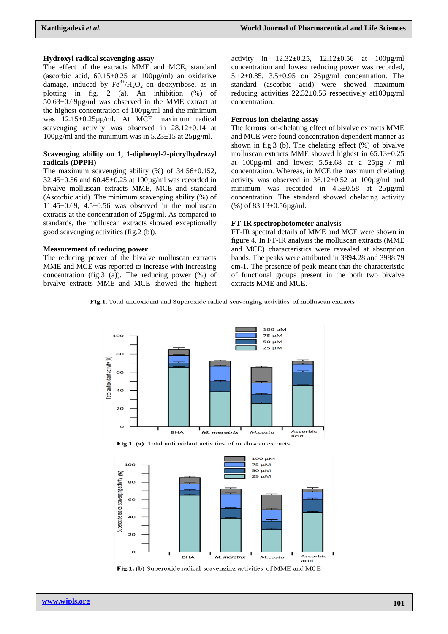### **Hydroxyl radical scavenging assay**

The effect of the extracts MME and MCE, standard (ascorbic acid,  $60.15 \pm 0.25$  at  $100 \mu g/ml$ ) an oxidative damage, induced by  $Fe^{3+}/H_2O_2$  on deoxyribose, as in plotting in fig. 2 (a). An inhibition (%) of 50.63±0.69µg/ml was observed in the MME extract at the highest concentration of 100µg/ml and the minimum was 12.15±0.25µg/ml. At MCE maximum radical scavenging activity was observed in  $28.12 \pm 0.14$  at  $100\mu$ g/ml and the minimum was in  $5.23\pm15$  at  $25\mu$ g/ml.

### **Scavenging ability on 1, 1-diphenyl-2-picrylhydrazyl radicals (DPPH)**

The maximum scavenging ability  $(\%)$  of 34.56 $\pm$ 0.152,  $32.45 \pm 0.56$  and  $60.45 \pm 0.25$  at  $100 \mu$ g/ml was recorded in bivalve molluscan extracts MME, MCE and standard (Ascorbic acid). The minimum scavenging ability (%) of  $11.45\pm0.69$ ,  $4.5\pm0.56$  was observed in the molluscan extracts at the concentration of 25µg/ml. As compared to standards, the molluscan extracts showed exceptionally good scavenging activities (fig.2 (b)).

#### **Measurement of reducing power**

The reducing power of the bivalve molluscan extracts MME and MCE was reported to increase with increasing concentration (fig.3 (a)). The reducing power (%) of bivalve extracts MME and MCE showed the highest

activity in  $12.32 \pm 0.25$ ,  $12.12 \pm 0.56$  at  $100 \mu\text{g/ml}$ concentration and lowest reducing power was recorded, 5.12±0.85, 3.5±0.95 on 25µg/ml concentration. The standard (ascorbic acid) were showed maximum reducing activities  $22.32\pm0.56$  respectively at  $100\mu\text{g/ml}$ concentration.

### **Ferrous ion chelating assay**

The ferrous ion-chelating effect of bivalve extracts MME and MCE were found concentration dependent manner as shown in fig.3 (b). The chelating effect (%) of bivalve molluscan extracts MME showed highest in 65.13±0.25 at  $100\mu\text{g/ml}$  and lowest  $5.5\pm.68$  at a  $25\mu\text{g}$  / ml concentration. Whereas, in MCE the maximum chelating activity was observed in  $36.12 \pm 0.52$  at  $100 \mu$ g/ml and minimum was recorded in 4.5±0.58 at 25µg/ml concentration. The standard showed chelating activity (%) of 83.13±0.56µg/ml.

### **FT-IR spectrophotometer analysis**

FT-IR spectral details of MME and MCE were shown in figure 4. In FT-IR analysis the molluscan extracts (MME and MCE) characteristics were revealed at absorption bands. The peaks were attributed in 3894.28 and 3988.79 cm-1. The presence of peak meant that the characteristic of functional groups present in the both two bivalve extracts MME and MCE.

Fig.1. Total antioxidant and Superoxide radical scavenging activities of molluscan extracts





Fig.1. (b) Superoxide radical scavenging activities of MME and MCE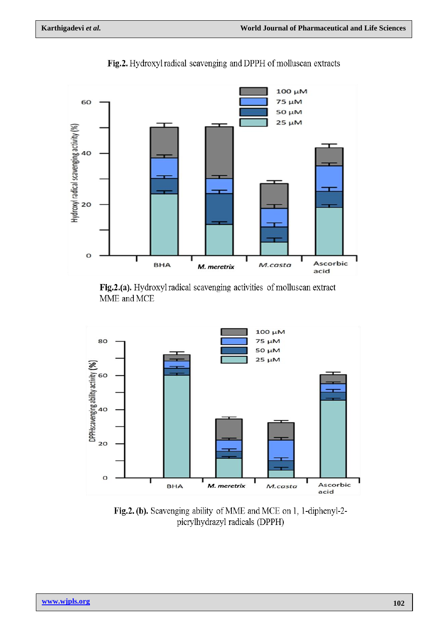

Fig.2. Hydroxyl radical scavenging and DPPH of molluscan extracts

Fig.2.(a). Hydroxyl radical scavenging activities of molluscan extract MME and MCE



Fig.2. (b). Scavenging ability of MME and MCE on 1, 1-diphenyl-2picrylhydrazyl radicals (DPPH)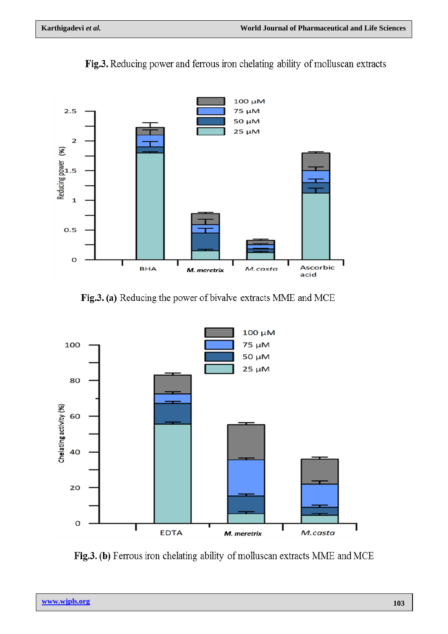

Fig.3. Reducing power and ferrous iron chelating ability of molluscan extracts

Fig.3. (a) Reducing the power of bivalve extracts MME and MCE



Fig.3. (b) Ferrous iron chelating ability of molluscan extracts MME and MCE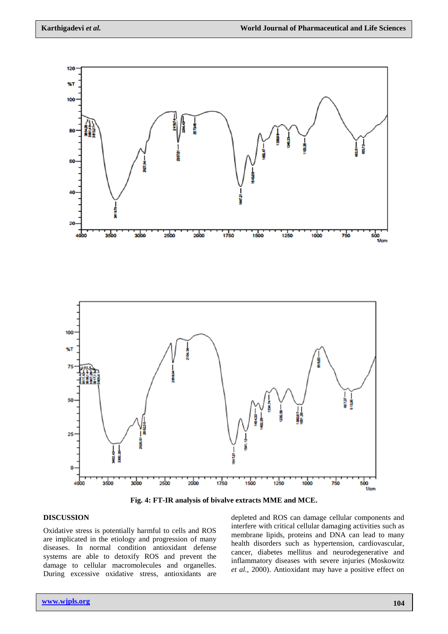

**Fig. 4: FT-IR analysis of bivalve extracts MME and MCE.**

## **DISCUSSION**

Oxidative stress is potentially harmful to cells and ROS are implicated in the etiology and progression of many diseases. In normal condition antioxidant defense systems are able to detoxify ROS and prevent the damage to cellular macromolecules and organelles. During excessive oxidative stress, antioxidants are

depleted and ROS can damage cellular components and interfere with critical cellular damaging activities such as membrane lipids, proteins and DNA can lead to many health disorders such as hypertension, cardiovascular, cancer, diabetes mellitus and neurodegenerative and inflammatory diseases with severe injuries (Moskowitz *et al.,* 2000). Antioxidant may have a positive effect on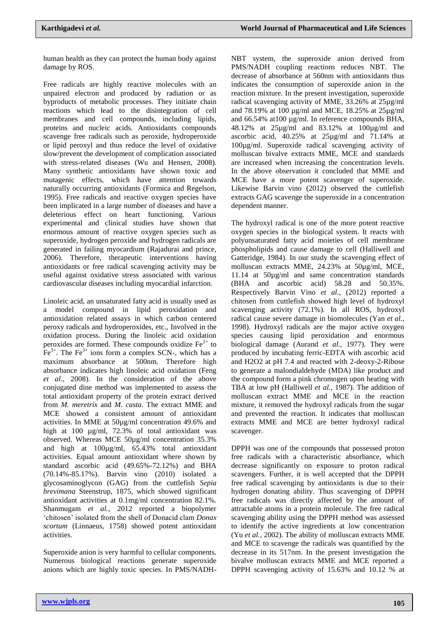human health as they can protect the human body against damage by ROS.

Free radicals are highly reactive molecules with an unpaired electron and produced by radiation or as byproducts of metabolic processes. They initiate chain reactions which lead to the disintegration of cell membranes and cell compounds, including lipids, proteins and nucleic acids. Antioxidants compounds scavenge free radicals such as peroxide, hydroperoxide or lipid peroxyl and thus reduce the level of oxidative slow/prevent the development of complication associated with stress-related diseases (Wu and Hensen, 2008). Many synthetic antioxidants have shown toxic and mutagenic effects, which have attention towards naturally occurring antioxidants (Formica and Regelson, 1995). Free radicals and reactive oxygen species have been implicated in a large number of diseases and have a deleterious effect on heart functioning. Various experimental and clinical studies have shown that enormous amount of reactive oxygen species such as superoxide, hydrogen peroxide and hydrogen radicals are generated in failing myocardium (Rajadurai and prince, 2006). Therefore, therapeutic interventions having antioxidants or free radical scavenging activity may be useful against oxidative stress associated with various cardiovascular diseases including myocardial infarction.

Linoleic acid, an unsaturated fatty acid is usually used as a model compound in lipid peroxidation and antioxidation related assays in which carbon centered peroxy radicals and hydroperoxides, etc., Involved in the oxidation process. During the linoleic acid oxidation peroxides are formed. These compounds oxidize  $Fe<sup>2+</sup>$  to  $Fe^{3+}$ . The Fe<sup>3+</sup> ions form a complex SCN-, which has a maximum absorbance at 500nm. Therefore high absorbance indicates high linoleic acid oxidation (Feng *et al.,* 2008). In the consideration of the above conjugated dine method was implemented to assess the total antioxidant property of the protein extract derived from *M. meretrix* and *M. casta*. The extract MME and MCE showed a consistent amount of antioxidant activities. In MME at 50µg/ml concentration 49.6% and high at 100 µg/ml, 72.3% of total antioxidant was observed. Whereas MCE 50µg/ml concentration 35.3% and high at 100µg/ml, 65.43% total antioxidant activities. Equal amount antioxidant where shown by standard ascorbic acid (49.65%-72.12%) and BHA (70.14%-85.17%). Barvin vino (2010) isolated a glycosaminoglycon (GAG) from the cuttlefish *Sepia brevimana* Steenstrup, 1875, which showed significant antioxidant activities at 0.1mg/ml concentration 82.1%. Shanmugam *et al.,* 2012 reported a biopolymer 'chitosen' isolated from the shell of Donacid clam *Donax scortum* (Linnaeus, 1758) showed potent antioxidant activities.

Superoxide anion is very harmful to cellular components. Numerous biological reactions generate superoxide anions which are highly toxic species. In PMS/NADH- NBT system, the superoxide anion derived from PMS/NADH coupling reactions reduces NBT. The decrease of absorbance at 560nm with antioxidants thus indicates the consumption of superoxide anion in the reaction mixture. In the present investigation, superoxide radical scavenging activity of MME, 33.26% at 25µg/ml and 78.19% at 100 µg/ml and MCE, 18.25% at 25µg/ml and 66.54% at 100 µg/ml. In reference compounds BHA, 48.12% at 25µg/ml and 83.12% at 100µg/ml and ascorbic acid, 40.25% at 25µg/ml and 71.14% at 100µg/ml. Superoxide radical scavenging activity of molluscan bivalve extracts MME, MCE and standards are increased when increasing the concentration levels. In the above observation it concluded that MME and MCE have a more potent scavenger of superoxide. Likewise Barvin vino (2012) observed the cuttlefish extracts GAG scavenge the superoxide in a concentration dependent manner.

The hydroxyl radical is one of the more potent reactive oxygen species in the biological system. It reacts with polyunsaturated fatty acid moieties of cell membrane phospholipids and cause damage to cell (Halliwell and Gatteridge, 1984). In our study the scavenging effect of molluscan extracts MME, 24.23% at 50µg/ml, MCE, 11.14 at 50µg/ml and same concentration standards (BHA and ascorbic acid) 58.28 and 50.35%. Respectively Barvin Vino *et al.,* (2012) reported a chitosen from cuttlefish showed high level of hydroxyl scavenging activity (72.1%). In all ROS, hydroxyl radical cause severe damage in biomolecules (Yan *et al.,* 1998). Hydroxyl radicals are the major active oxygen species causing lipid peroxidation and enormous biological damage (Aurand *et al.,* 1977). They were produced by incubating ferric-EDTA with ascorbic acid and H2O2 at pH 7.4 and reacted with 2-deoxy-2-Ribose to generate a malondialdehyde (MDA) like product and the compound form a pink chromogen upon heating with TBA at low pH (Halliwell *et al.,* 1987). The addition of molluscan extract MME and MCE in the reaction mixture, it removed the hydroxyl radicals from the sugar and prevented the reaction. It indicates that molluscan extracts MME and MCE are better hydroxyl radical scavenger.

DPPH was one of the compounds that possessed proton free radicals with a characteristic absorbance, which decrease significantly on exposure to proton radical scavengers. Further, it is well accepted that the DPPH free radical scavenging by antioxidants is due to their hydrogen donating ability. Thus scavenging of DPPH free radicals was directly affected by the amount of attractable atoms in a protein molecule. The free radical scavenging ability using the DPPH method was assessed to identify the active ingredients at low concentration (Yu *et al.,* 2002). The ability of molluscan extracts MME and MCE to scavenge the radicals was quantified by the decrease in its 517nm. In the present investigation the bivalve molluscan extracts MME and MCE reported a DPPH scavenging activity of 15.63% and 10.12 % at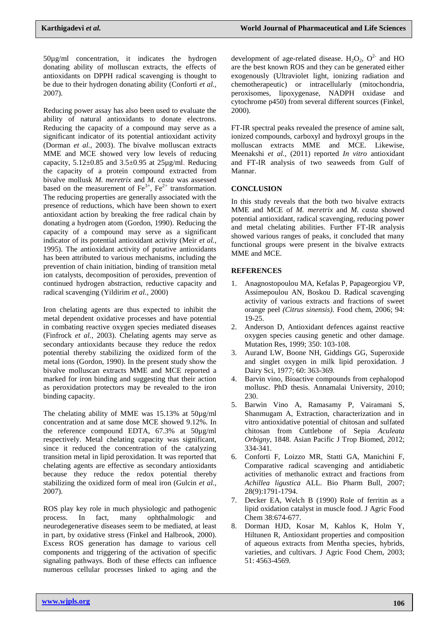50µg/ml concentration, it indicates the hydrogen donating ability of molluscan extracts, the effects of antioxidants on DPPH radical scavenging is thought to be due to their hydrogen donating ability (Conforti *et al.,* 2007).

Reducing power assay has also been used to evaluate the ability of natural antioxidants to donate electrons. Reducing the capacity of a compound may serve as a significant indicator of its potential antioxidant activity (Dorman *et al.,* 2003). The bivalve molluscan extracts MME and MCE showed very low levels of reducing capacity,  $5.12\pm0.85$  and  $3.5\pm0.95$  at  $25\mu$ g/ml. Reducing the capacity of a protein compound extracted from bivalve mollusk *M. meretrix* and *M. casta* was assessed based on the measurement of  $Fe^{3+}$ ,  $Fe^{2+}$  transformation. The reducing properties are generally associated with the presence of reductions, which have been shown to exert antioxidant action by breaking the free radical chain by donating a hydrogen atom (Gordon, 1990). Reducing the capacity of a compound may serve as a significant indicator of its potential antioxidant activity (Meir *et al.,* 1995). The antioxidant activity of putative antioxidants has been attributed to various mechanisms, including the prevention of chain initiation, binding of transition metal ion catalysts, decomposition of peroxides, prevention of continued hydrogen abstraction, reductive capacity and radical scavenging (Yildirim *et al.,* 2000)

Iron chelating agents are thus expected to inhibit the metal dependent oxidative processes and have potential in combating reactive oxygen species mediated diseases (Finfrock *et al.,* 2003). Chelating agents may serve as secondary antioxidants because they reduce the redox potential thereby stabilizing the oxidized form of the metal ions (Gordon, 1990). In the present study show the bivalve molluscan extracts MME and MCE reported a marked for iron binding and suggesting that their action as peroxidation protectors may be revealed to the iron binding capacity.

The chelating ability of MME was 15.13% at 50µg/ml concentration and at same dose MCE showed 9.12%. In the reference compound EDTA, 67.3% at 50µg/ml respectively. Metal chelating capacity was significant, since it reduced the concentration of the catalyzing transition metal in lipid peroxidation. It was reported that chelating agents are effective as secondary antioxidants because they reduce the redox potential thereby stabilizing the oxidized form of meal iron (Gulcin *et al.,* 2007).

ROS play key role in much physiologic and pathogenic process. In fact, many ophthalmologic and neurodegenerative diseases seem to be mediated, at least in part, by oxidative stress (Finkel and Halbrook, 2000). Excess ROS generation has damage to various cell components and triggering of the activation of specific signaling pathways. Both of these effects can influence numerous cellular processes linked to aging and the

development of age-related disease.  $H_2O_2$ ,  $O^2$  and HO are the best known ROS and they can be generated either exogenously (Ultraviolet light, ionizing radiation and chemotherapeutic) or intracellularly (mitochondria, peroxisomes, lipoxygenase, NADPH oxidase and cytochrome p450) from several different sources (Finkel, 2000).

FT-IR spectral peaks revealed the presence of amine salt, ionized compounds, carboxyl and hydroxyl groups in the molluscan extracts MME and MCE. Likewise, Meenakshi *et al.,* (2011) reported *In vitro* antioxidant and FT-IR analysis of two seaweeds from Gulf of Mannar.

# **CONCLUSION**

In this study reveals that the both two bivalve extracts MME and MCE of *M. meretrix* and *M. casta* showed potential antioxidant, radical scavenging, reducing power and metal chelating abilities. Further FT-IR analysis showed various ranges of peaks, it concluded that many functional groups were present in the bivalve extracts MME and MCE.

# **REFERENCES**

- 1. Anagnostopoulou MA, Kefalas P, Papageorgiou VP, Assimepoulou AN, Boskou D. Radical scavenging activity of various extracts and fractions of sweet orange peel *(Citrus sinensis).* Food chem, 2006; 94: 19-25.
- 2. Anderson D, Antioxidant defences against reactive oxygen species causing genetic and other damage. Mutation Res, 1999; 350: 103-108.
- 3. Aurand LW, Boone NH, Giddings GG, Superoxide and singlet oxygen in milk lipid peroxidation. J Dairy Sci, 1977; 60: 363-369.
- 4. Barvin vino, Bioactive compounds from cephalopod mollusc. PhD thesis. Annamalai University, 2010; 230.
- 5. Barwin Vino A, Ramasamy P, Vairamani S, Shanmugam A, Extraction, characterization and in vitro antioxidative potential of chitosan and sulfated chitosan from Cuttlebone of Sepia *Aculeata Orbigny*, 1848. Asian Pacific J Trop Biomed, 2012; 334-341.
- 6. Conforti F, Loizzo MR, Statti GA, Manichini F, Comparative radical scavenging and antidiabetic activities of methanolic extract and fractions from *Achillea ligustica* ALL. Bio Pharm Bull, 2007; 28(9):1791-1794.
- 7. Decker EA, Welch B (1990) Role of ferritin as a lipid oxidation catalyst in muscle food. J Agric Food Chem 38:674-677.
- 8. Dorman HJD, Kosar M, Kahlos K, Holm Y, Hiltunen R, Antioxidant properties and composition of aqueous extracts from Mentha species, hybrids, varieties, and cultivars. J Agric Food Chem, 2003; 51: 4563-4569.